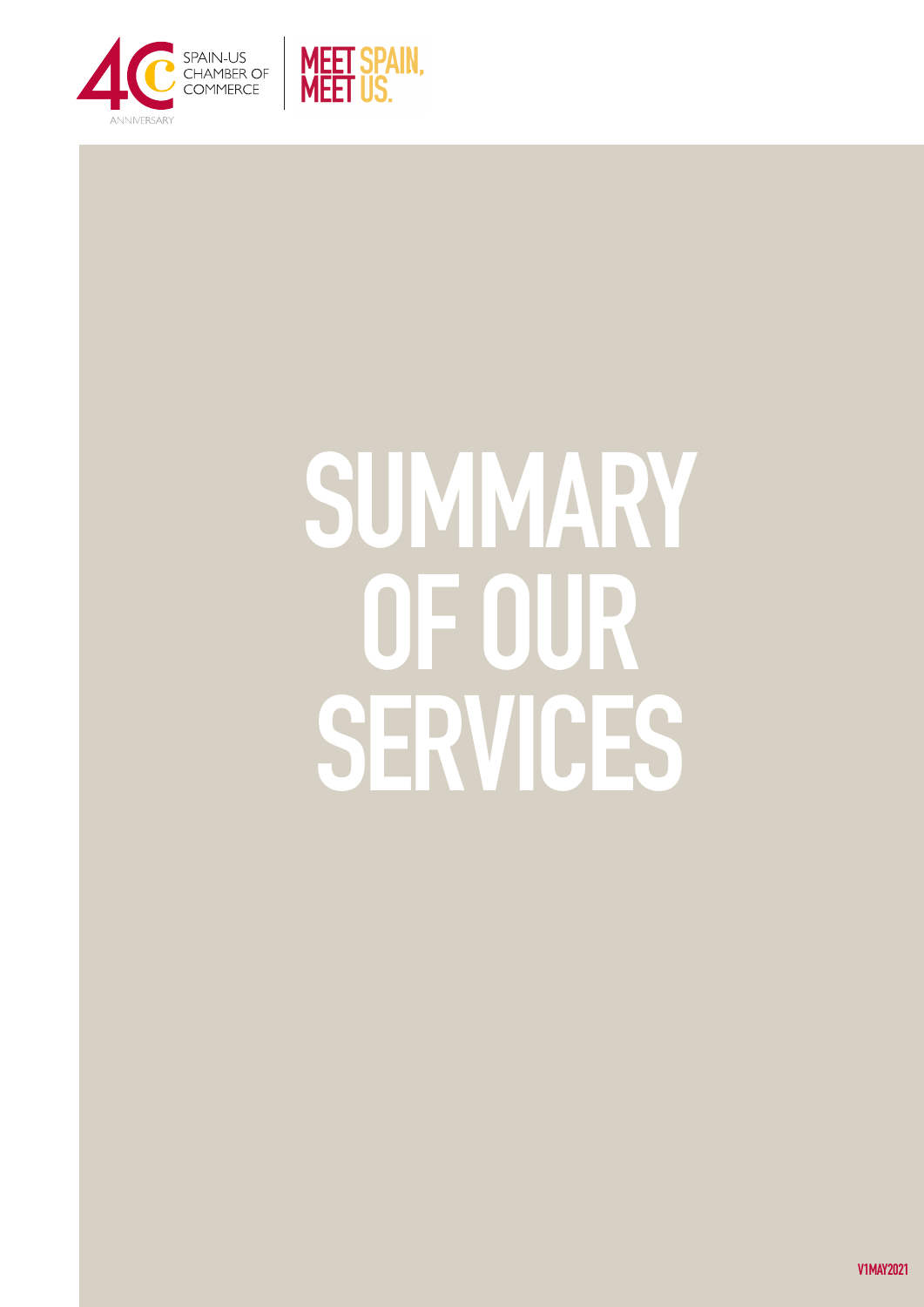

# SUMMARY OF OUR SERVICES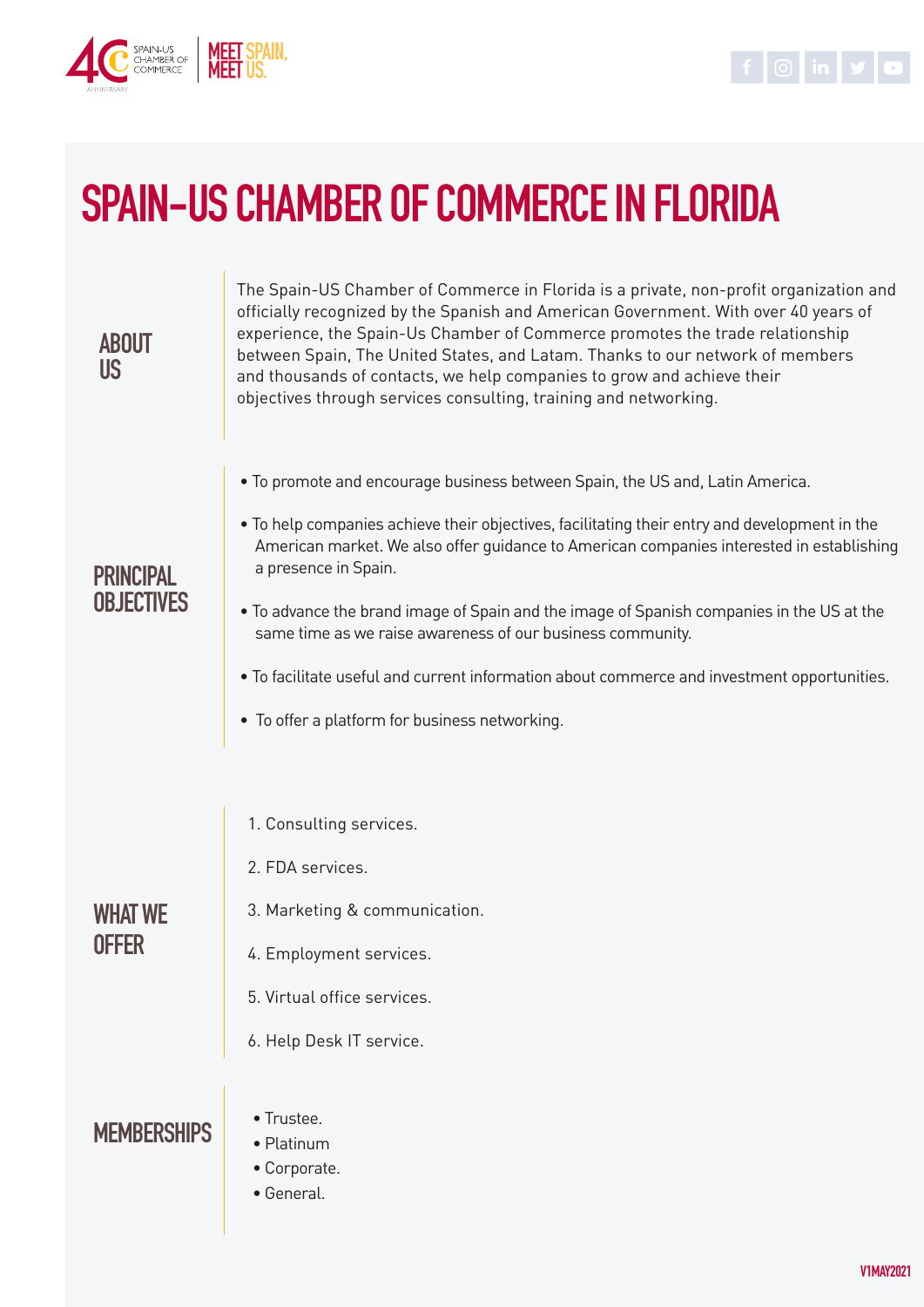



# SPAIN-US CHAMBER OF COMMERCE IN FLORIDA

| <b>ABOUT</b><br>US.                   | The Spain-US Chamber of Commerce in Florida is a private, non-profit organization and<br>officially recognized by the Spanish and American Government. With over 40 years of<br>experience, the Spain-Us Chamber of Commerce promotes the trade relationship<br>between Spain, The United States, and Latam. Thanks to our network of members<br>and thousands of contacts, we help companies to grow and achieve their<br>objectives through services consulting, training and networking. |  |  |  |
|---------------------------------------|---------------------------------------------------------------------------------------------------------------------------------------------------------------------------------------------------------------------------------------------------------------------------------------------------------------------------------------------------------------------------------------------------------------------------------------------------------------------------------------------|--|--|--|
| <b>PRINCIPAL</b><br><b>OBJECTIVES</b> | . To promote and encourage business between Spain, the US and, Latin America.<br>. To help companies achieve their objectives, facilitating their entry and development in the                                                                                                                                                                                                                                                                                                              |  |  |  |
|                                       | American market. We also offer guidance to American companies interested in establishing<br>a presence in Spain.                                                                                                                                                                                                                                                                                                                                                                            |  |  |  |
|                                       | . To advance the brand image of Spain and the image of Spanish companies in the US at the<br>same time as we raise awareness of our business community.                                                                                                                                                                                                                                                                                                                                     |  |  |  |
|                                       | . To facilitate useful and current information about commerce and investment opportunities.<br>• To offer a platform for business networking.                                                                                                                                                                                                                                                                                                                                               |  |  |  |
|                                       |                                                                                                                                                                                                                                                                                                                                                                                                                                                                                             |  |  |  |
|                                       | 1. Consulting services.                                                                                                                                                                                                                                                                                                                                                                                                                                                                     |  |  |  |
| <b>WHAT WE</b><br><b>OFFER</b>        | 2. FDA services.                                                                                                                                                                                                                                                                                                                                                                                                                                                                            |  |  |  |
|                                       | 3. Marketing & communication.                                                                                                                                                                                                                                                                                                                                                                                                                                                               |  |  |  |
|                                       | 4. Employment services.                                                                                                                                                                                                                                                                                                                                                                                                                                                                     |  |  |  |
|                                       | 5. Virtual office services.                                                                                                                                                                                                                                                                                                                                                                                                                                                                 |  |  |  |
|                                       | 6. Help Desk IT service.                                                                                                                                                                                                                                                                                                                                                                                                                                                                    |  |  |  |
| <b>MEMBERSHIPS</b>                    | • Trustee.<br>• Platinum<br>• Corporate.<br>• General.                                                                                                                                                                                                                                                                                                                                                                                                                                      |  |  |  |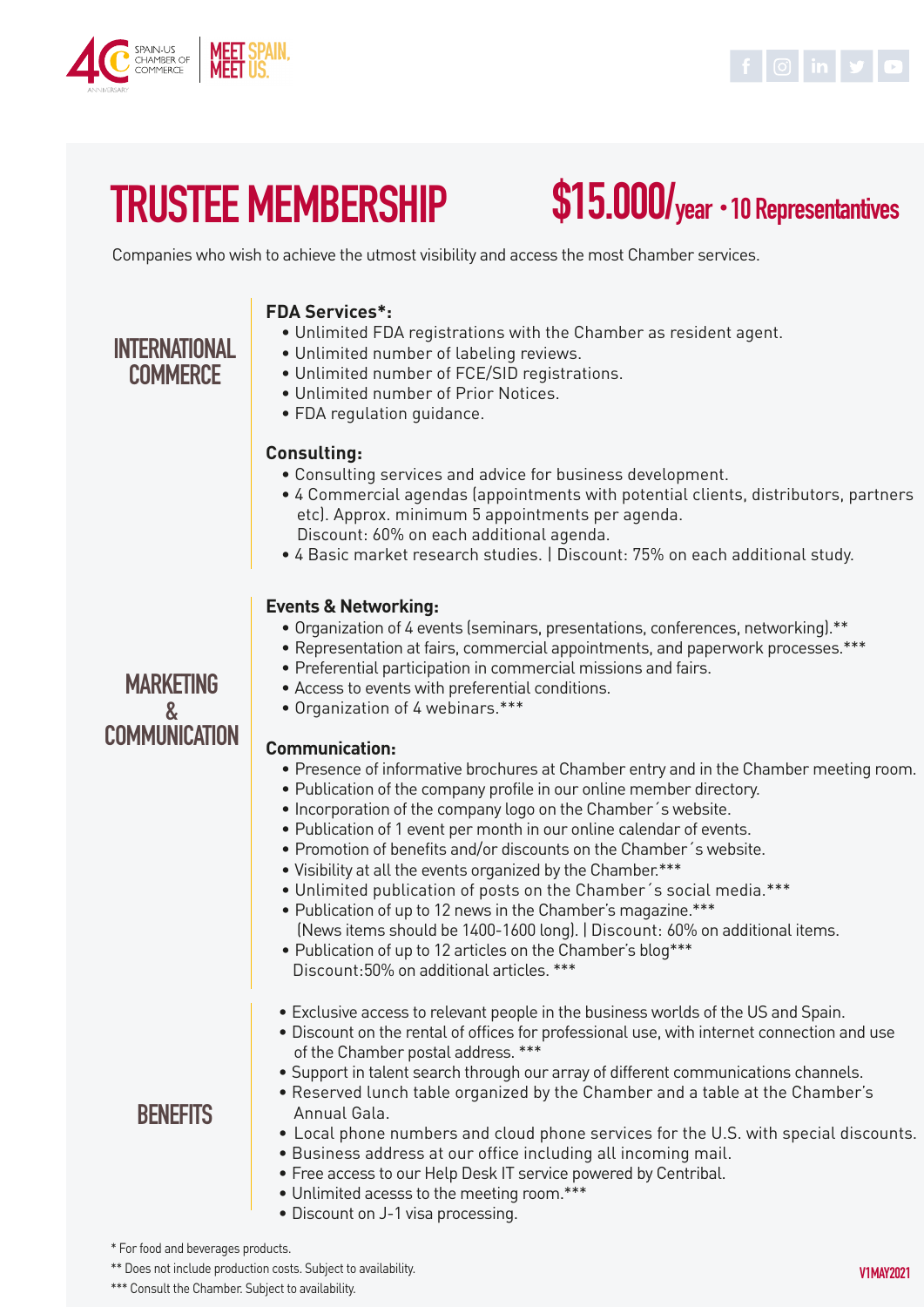



# TRUSTEE MEMBERSHIP

# \$15.000/year ・10 Representantives

Companies who wish to achieve the utmost visibility and access the most Chamber services.

#### **FDA Services\*:**

- Unlimited FDA registrations with the Chamber as resident agent.
- Unlimited number of labeling reviews.

### INTERNATIONAL **COMMERCE**

**MARKFTING** & **COMMUNICATION** 

### • Unlimited number of FCE/SID registrations.

- Unlimited number of Prior Notices.
- FDA regulation guidance.

#### **Consulting:**

- Consulting services and advice for business development.
- 4 Commercial agendas (appointments with potential clients, distributors, partners etc). Approx. minimum 5 appointments per agenda. Discount: 60% on each additional agenda.
- 4 Basic market research studies. | Discount: 75% on each additional study.

#### **Events & Networking:**

- Organization of 4 events (seminars, presentations, conferences, networking).\*\*
- Representation at fairs, commercial appointments, and paperwork processes.\*\*\*
- Preferential participation in commercial missions and fairs.
- Access to events with preferential conditions.
- Organization of 4 webinars.\*\*\*

#### **Communication:**

- Presence of informative brochures at Chamber entry and in the Chamber meeting room.
- Publication of the company profile in our online member directory.
- Incorporation of the company logo on the Chamber´s website.
- Publication of 1 event per month in our online calendar of events.
- Promotion of benefits and/or discounts on the Chamber´s website.
- Visibility at all the events organized by the Chamber.\*\*\*
- Unlimited publication of posts on the Chamber´s social media.\*\*\*
- Publication of up to 12 news in the Chamber's magazine.\*\*\* (News items should be 1400-1600 long). | Discount: 60% on additional items.
- Publication of up to 12 articles on the Chamber's blog\*\*\* Discount:50% on additional articles. \*\*\*
- Exclusive access to relevant people in the business worlds of the US and Spain.
- Discount on the rental of offices for professional use, with internet connection and use of the Chamber postal address. \*\*\*
- Support in talent search through our array of different communications channels.
- Reserved lunch table organized by the Chamber and a table at the Chamber's Annual Gala.
- Local phone numbers and cloud phone services for the U.S. with special discounts.
- Business address at our office including all incoming mail.
- Free access to our Help Desk IT service powered by Centribal.
- Unlimited acesss to the meeting room.\*\*\*
- Discount on J-1 visa processing.

\* For food and beverages products.

**BENEFITS** 

\*\* Does not include production costs. Subject to availability.

\*\*\* Consult the Chamber. Subject to availability.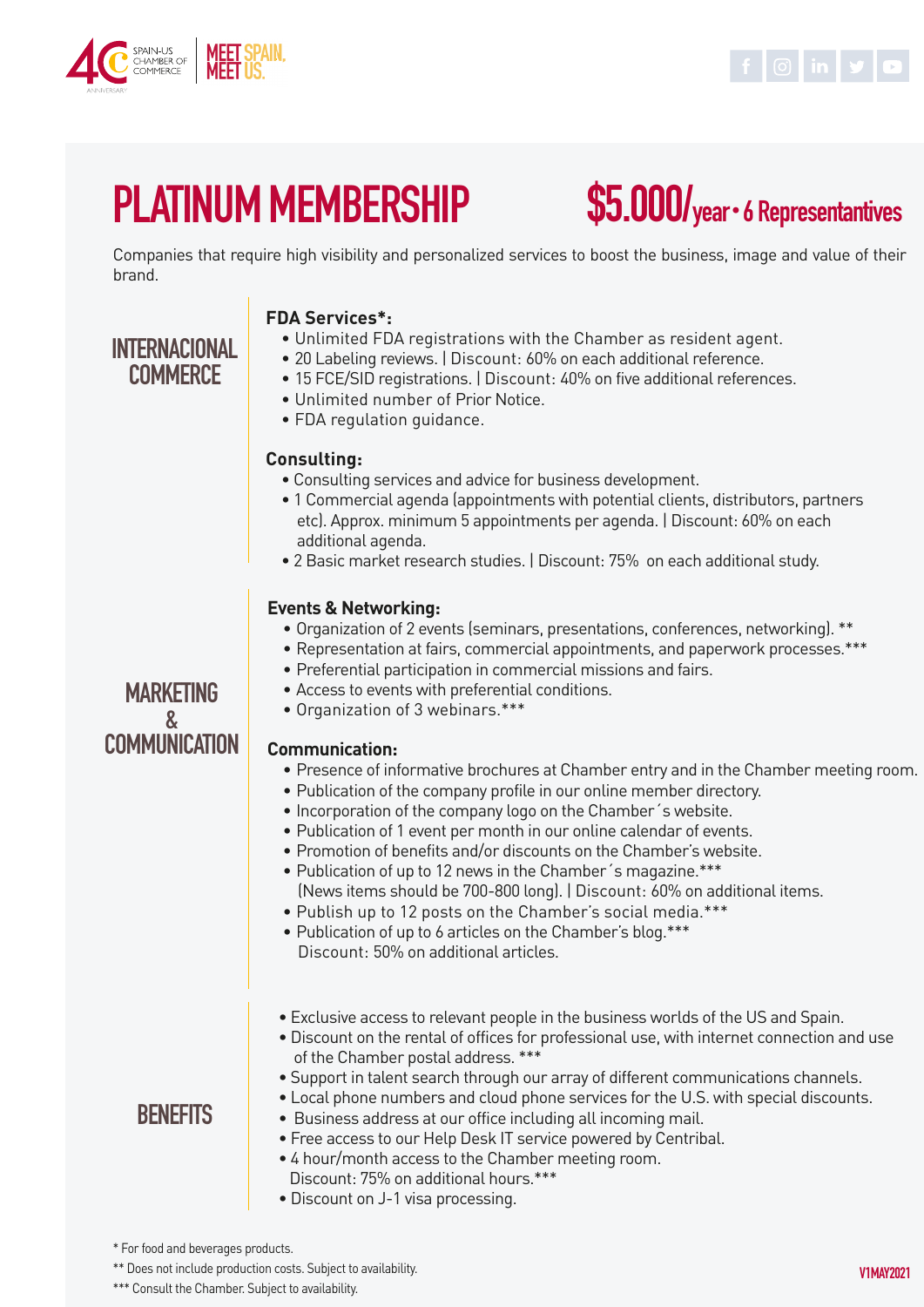

INTERNACIONAL **COMMERCE** 



# PLATINUM MEMBERSHIP

# \$5.000/year・6 Representantives

Companies that require high visibility and personalized services to boost the business, image and value of their brand.

#### **FDA Services\*:**

- Unlimited FDA registrations with the Chamber as resident agent.
- 20 Labeling reviews. | Discount: 60% on each additional reference.

#### • 15 FCE/SID registrations. | Discount: 40% on five additional references.

- Unlimited number of Prior Notice.
- FDA regulation guidance.

#### **Consulting:**

- Consulting services and advice for business development.
- 1 Commercial agenda (appointments with potential clients, distributors, partners etc). Approx. minimum 5 appointments per agenda. | Discount: 60% on each additional agenda.
- 2 Basic market research studies. | Discount: 75% on each additional study.

#### **Events & Networking:**

- Organization of 2 events (seminars, presentations, conferences, networking). \*\*
- Representation at fairs, commercial appointments, and paperwork processes.\*\*\*
- Preferential participation in commercial missions and fairs.
- Access to events with preferential conditions.
- Organization of 3 webinars.\*\*\*

#### **Communication:**

- Presence of informative brochures at Chamber entry and in the Chamber meeting room.
- Publication of the company profile in our online member directory.
- Incorporation of the company logo on the Chamber´s website.
- Publication of 1 event per month in our online calendar of events.
- Promotion of benefits and/or discounts on the Chamber's website.
- Publication of up to 12 news in the Chamber´s magazine.\*\*\* (News items should be 700-800 long). | Discount: 60% on additional items.
- Publish up to 12 posts on the Chamber's social media.\*\*\*
- Publication of up to 6 articles on the Chamber's blog.\*\*\* Discount: 50% on additional articles.
- Exclusive access to relevant people in the business worlds of the US and Spain.
- Discount on the rental of offices for professional use, with internet connection and use of the Chamber postal address. \*\*\*
- Support in talent search through our array of different communications channels.
- Local phone numbers and cloud phone services for the U.S. with special discounts.
- Business address at our office including all incoming mail.
- Free access to our Help Desk IT service powered by Centribal.
- 4 hour/month access to the Chamber meeting room. Discount: 75% on additional hours.\*\*\*
- Discount on J-1 visa processing.

#### \* For food and beverages products.

**BENEFITS** 

\*\* Does not include production costs. Subject to availability.

\*\*\* Consult the Chamber. Subject to availability.

### MARKETING & **COMMUNICATION**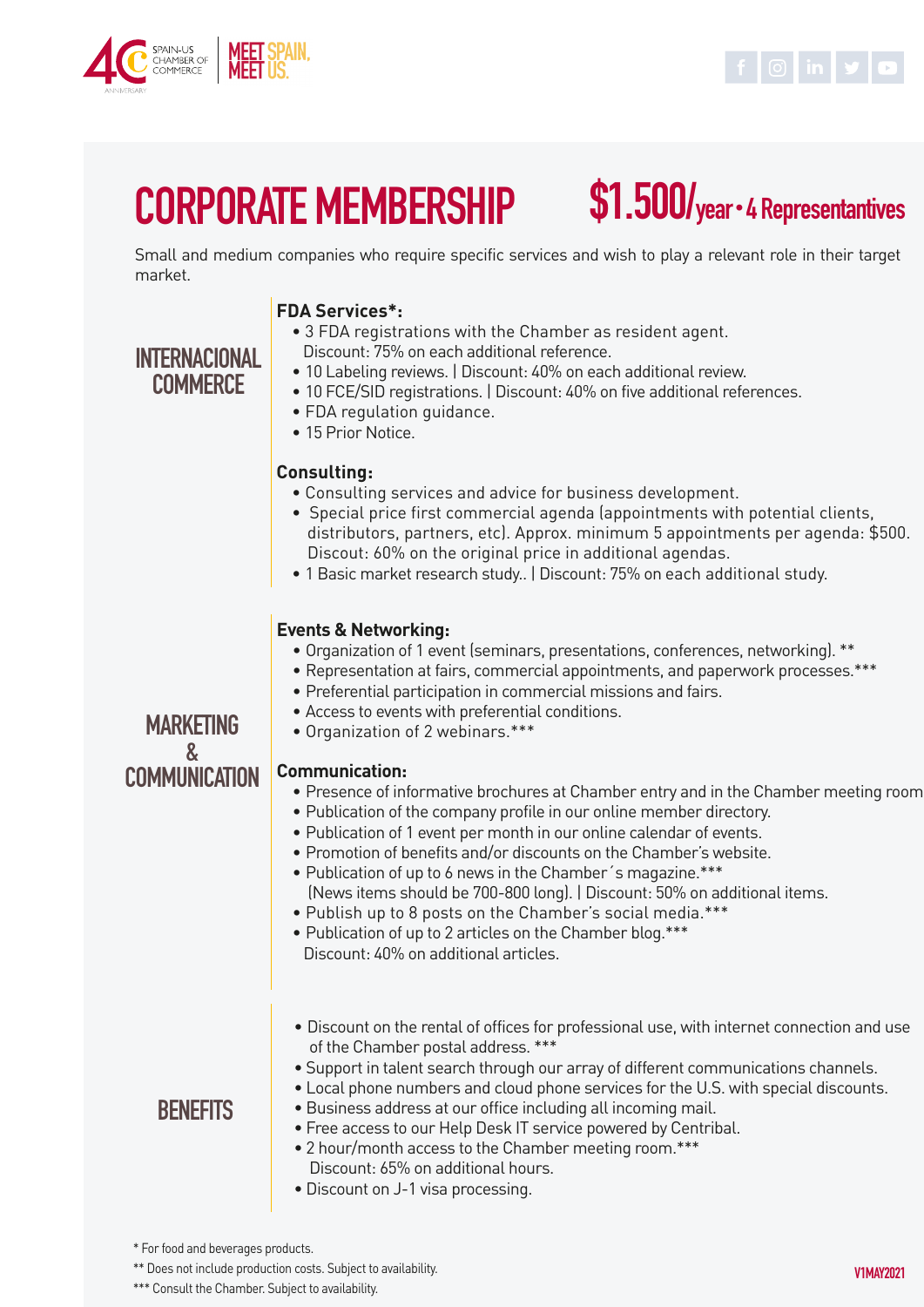

INTERNACIONAL **COMMERCE** 



### CORPORATE MEMBERSHIP \$1.500/year・4 Representantives

Small and medium companies who require specific services and wish to play a relevant role in their target market.

#### **FDA Services\*:**

#### • 3 FDA registrations with the Chamber as resident agent. Discount: 75% on each additional reference.

- 10 Labeling reviews. | Discount: 40% on each additional review.
- 10 FCE/SID registrations. | Discount: 40% on five additional references.
- FDA regulation guidance.
- 15 Prior Notice.

#### **Consulting:**

- Consulting services and advice for business development.
- Special price first commercial agenda (appointments with potential clients, distributors, partners, etc). Approx. minimum 5 appointments per agenda: \$500. Discout: 60% on the original price in additional agendas.
- 1 Basic market research study.. | Discount: 75% on each additional study.

#### **Events & Networking:**

- Organization of 1 event (seminars, presentations, conferences, networking). \*\*
- Representation at fairs, commercial appointments, and paperwork processes.\*\*\*
- Preferential participation in commercial missions and fairs.
- Access to events with preferential conditions.
- Organization of 2 webinars.\*\*\*

#### **MARKFTING** & **COMMUNICATION**

#### **Communication:**

- Presence of informative brochures at Chamber entry and in the Chamber meeting room.
- Publication of the company profile in our online member directory.
- Publication of 1 event per month in our online calendar of events.
- Promotion of benefits and/or discounts on the Chamber's website.
- Publication of up to 6 news in the Chamber´s magazine.\*\*\* (News items should be 700-800 long). | Discount: 50% on additional items.
- Publish up to 8 posts on the Chamber's social media.\*\*\*
- Publication of up to 2 articles on the Chamber blog.\*\*\* Discount: 40% on additional articles.
- Discount on the rental of offices for professional use, with internet connection and use of the Chamber postal address. \*\*\*
- Support in talent search through our array of different communications channels.
- Local phone numbers and cloud phone services for the U.S. with special discounts.

#### **BENEFITS**

- Business address at our office including all incoming mail. • Free access to our Help Desk IT service powered by Centribal.
- 2 hour/month access to the Chamber meeting room.\*\*\* Discount: 65% on additional hours.
- Discount on J-1 visa processing.

\* For food and beverages products.

\*\* Does not include production costs. Subject to availability.

\*\*\* Consult the Chamber. Subject to availability.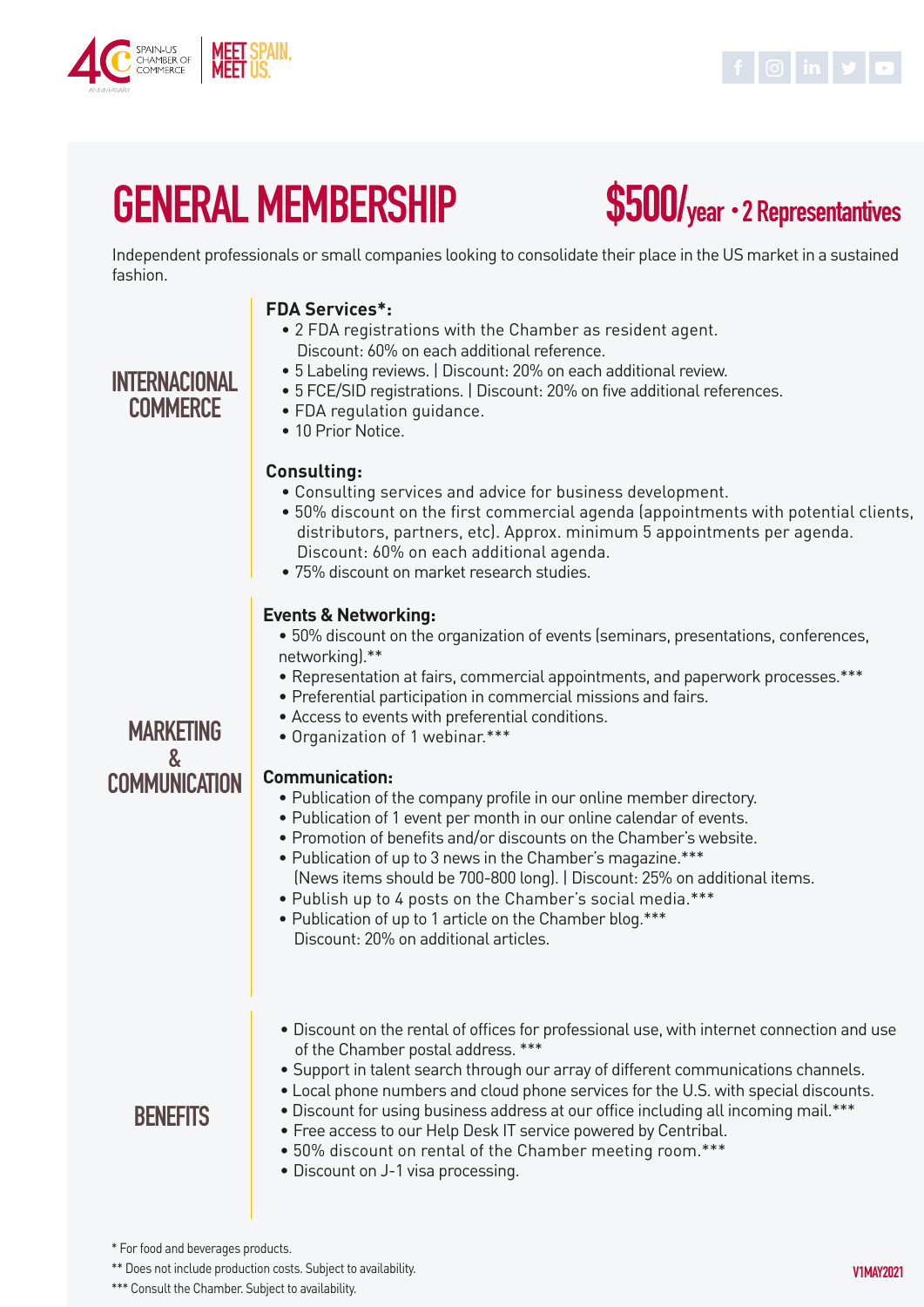

INTERNACIONAL **COMMERCE** 



# GENERAL MEMBERSHIP

\$500/year ・2 Representantives

Independent professionals or small companies looking to consolidate their place in the US market in a sustained fashion.

#### **FDA Services\*:**

- 2 FDA registrations with the Chamber as resident agent. Discount: 60% on each additional reference.
- 5 Labeling reviews. | Discount: 20% on each additional review.
- 5 FCE/SID registrations. | Discount: 20% on five additional references.

#### • FDA regulation guidance.

• 10 Prior Notice.

#### **Consulting:**

- Consulting services and advice for business development.
- 50% discount on the first commercial agenda (appointments with potential clients, distributors, partners, etc). Approx. minimum 5 appointments per agenda. Discount: 60% on each additional agenda.
- 75% discount on market research studies.

#### **Events & Networking:**

- 50% discount on the organization of events (seminars, presentations, conferences, networking).\*\*
- Representation at fairs, commercial appointments, and paperwork processes.\*\*\*
- Preferential participation in commercial missions and fairs.
- Access to events with preferential conditions.
- Organization of 1 webinar.\*\*\*

#### **Communication:**

- Publication of the company profile in our online member directory.
- Publication of 1 event per month in our online calendar of events.
- Promotion of benefits and/or discounts on the Chamber's website.
- Publication of up to 3 news in the Chamber's magazine.\*\*\*
	- (News items should be 700-800 long). | Discount: 25% on additional items.
- Publish up to 4 posts on the Chamber's social media.\*\*\*
- Publication of up to 1 article on the Chamber blog.\*\*\* Discount: 20% on additional articles.
- Discount on the rental of offices for professional use, with internet connection and use of the Chamber postal address. \*\*\*
- Support in talent search through our array of different communications channels.

#### • Local phone numbers and cloud phone services for the U.S. with special discounts.

#### • Discount for using business address at our office including all incoming mail.\*\*\*

- Free access to our Help Desk IT service powered by Centribal.
- 50% discount on rental of the Chamber meeting room.\*\*\*
- Discount on J-1 visa processing.

MARKETING & **COMMUNICATION** 

### **BENEFITS**

\*\* Does not include production costs. Subject to availability.

<sup>\*\*\*</sup> Consult the Chamber. Subject to availability.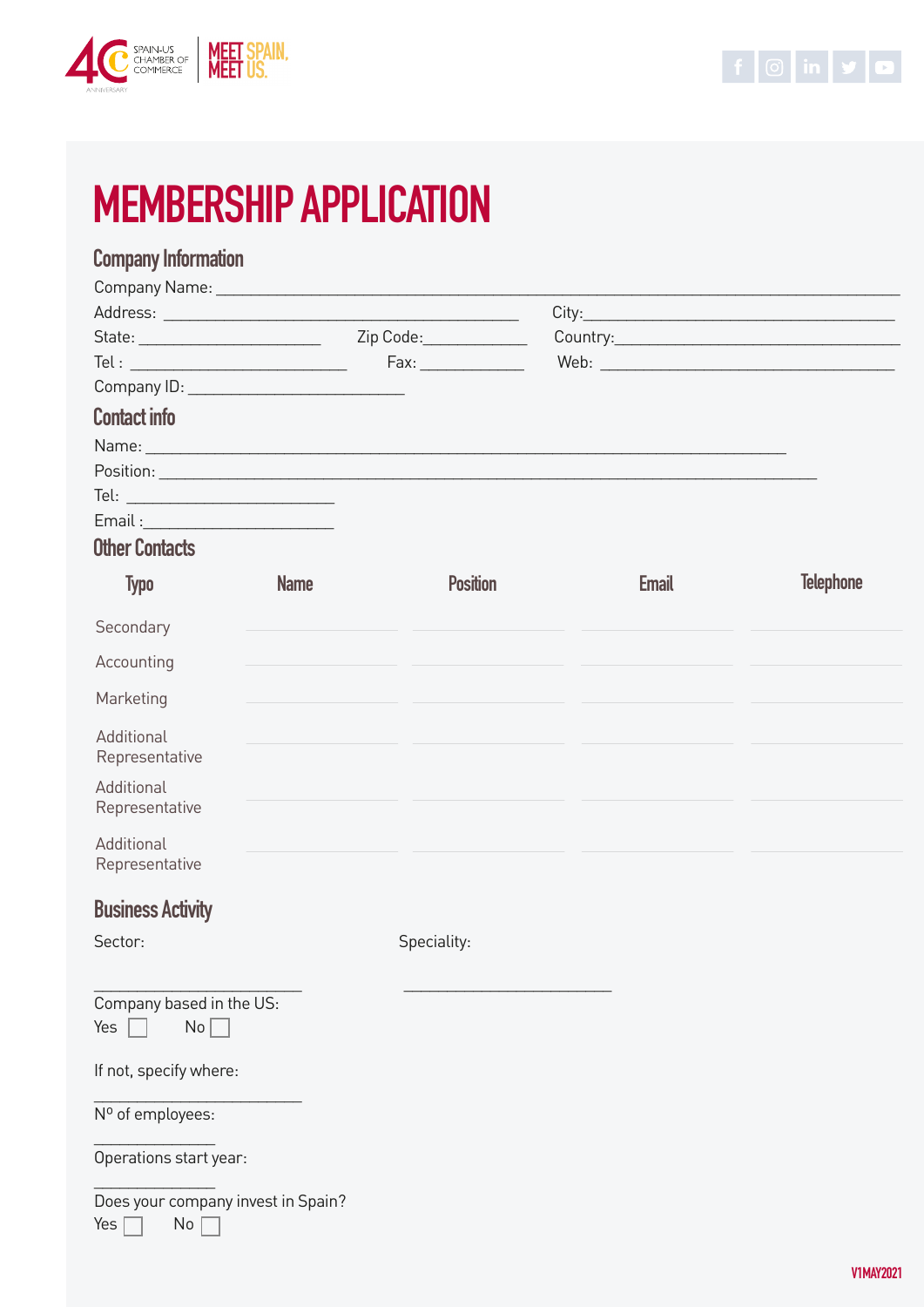



# MEMBERSHIP APPLICATION

## Company Information

| Company Name: Name and All Company Name and All Company Name and All Company of the All Company of the All Company of the All Company of the All Company of the All Company of the All Company of the All Company of the All C |             |                 |              |                        |
|--------------------------------------------------------------------------------------------------------------------------------------------------------------------------------------------------------------------------------|-------------|-----------------|--------------|------------------------|
|                                                                                                                                                                                                                                |             |                 |              |                        |
| State:                                                                                                                                                                                                                         |             | Zip Code:       |              | Country: 2008 Country: |
| Tel : ________________________________                                                                                                                                                                                         |             | Fax: 1          |              |                        |
| Company ID: North Company ID:                                                                                                                                                                                                  |             |                 |              |                        |
| <b>Contact info</b>                                                                                                                                                                                                            |             |                 |              |                        |
| Name: Name: Name: Name: Name: Name: Name: Name: Name: Name: Name: Name: Name: Name: Name: Name: Name: Name: Name: Name: Name: Name: Name: Name: Name: Name: Name: Name: Name: Name: Name: Name: Name: Name: Name: Name: Name:  |             |                 |              |                        |
| Position: New York Position 2014                                                                                                                                                                                               |             |                 |              |                        |
| Tel: ___________________________                                                                                                                                                                                               |             |                 |              |                        |
| Email :__________________________                                                                                                                                                                                              |             |                 |              |                        |
| <b>Other Contacts</b>                                                                                                                                                                                                          |             |                 |              |                        |
| <b>Typo</b>                                                                                                                                                                                                                    | <b>Name</b> | <b>Position</b> | <b>Email</b> | <b>Telephone</b>       |

| Secondary                                          |             |  |
|----------------------------------------------------|-------------|--|
| Accounting                                         |             |  |
| Marketing                                          |             |  |
| Additional<br>Representative                       |             |  |
| Additional<br>Representative                       |             |  |
| Additional<br>Representative                       |             |  |
| <b>Business Activity</b>                           |             |  |
| Sector:                                            | Speciality: |  |
|                                                    |             |  |
| Company based in the US:<br>No <sub>1</sub><br>Yes |             |  |
| If not, specify where:                             |             |  |
| Nº of employees:                                   |             |  |
| Operations start year:                             |             |  |